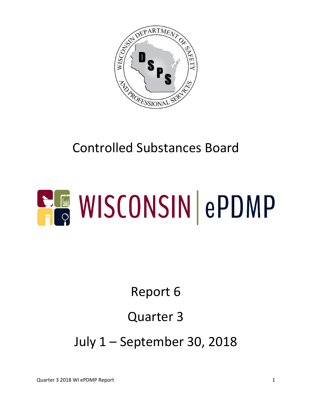

# Controlled Substances Board

# **ELE WISCONSIN ePDMP**

# Report 6

## Quarter 3

July 1 – September 30, 2018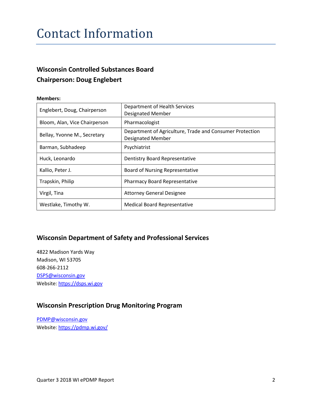#### Contact Information

#### **Wisconsin Controlled Substances Board Chairperson: Doug Englebert**

#### **Members:**

| Englebert, Doug, Chairperson  | Department of Health Services<br><b>Designated Member</b>                            |
|-------------------------------|--------------------------------------------------------------------------------------|
| Bloom, Alan, Vice Chairperson | Pharmacologist                                                                       |
| Bellay, Yvonne M., Secretary  | Department of Agriculture, Trade and Consumer Protection<br><b>Designated Member</b> |
| Barman, Subhadeep             | Psychiatrist                                                                         |
| Huck, Leonardo                | Dentistry Board Representative                                                       |
| Kallio, Peter J.              | <b>Board of Nursing Representative</b>                                               |
| Trapskin, Philip              | <b>Pharmacy Board Representative</b>                                                 |
| Virgil, Tina                  | <b>Attorney General Designee</b>                                                     |
| Westlake, Timothy W.          | <b>Medical Board Representative</b>                                                  |

#### **Wisconsin Department of Safety and Professional Services**

4822 Madison Yards Way Madison, WI 53705 608-266-2112 [DSPS@wisconsin.gov](mailto:DSPS@wisconsin.gov) Website[: https://dsps.wi.gov](https://dsps.wi.gov/)

#### **Wisconsin Prescription Drug Monitoring Program**

[PDMP@wisconsin.gov](mailto:PDMP@wisconsin.gov) Website[: https://pdmp.wi.gov/](https://pdmp.wi.gov/)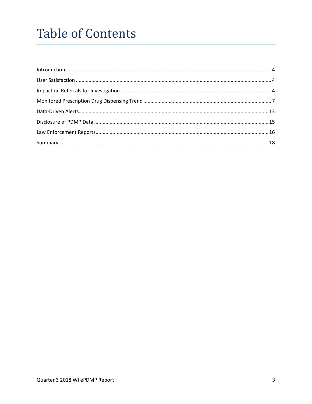## **Table of Contents**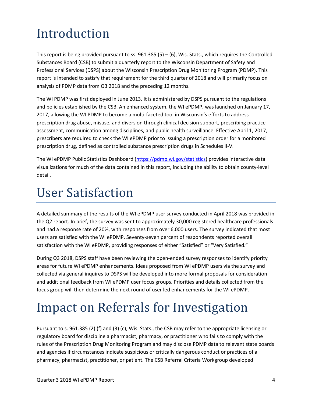## <span id="page-3-0"></span>Introduction

This report is being provided pursuant to ss.  $961.385(5) - (6)$ , Wis. Stats., which requires the Controlled Substances Board (CSB) to submit a quarterly report to the Wisconsin Department of Safety and Professional Services (DSPS) about the Wisconsin Prescription Drug Monitoring Program (PDMP). This report is intended to satisfy that requirement for the third quarter of 2018 and will primarily focus on analysis of PDMP data from Q3 2018 and the preceding 12 months.

The WI PDMP was first deployed in June 2013. It is administered by DSPS pursuant to the regulations and policies established by the CSB. An enhanced system, the WI ePDMP, was launched on January 17, 2017, allowing the WI PDMP to become a multi-faceted tool in Wisconsin's efforts to address prescription drug abuse, misuse, and diversion through clinical decision support, prescribing practice assessment, communication among disciplines, and public health surveillance. Effective April 1, 2017, prescribers are required to check the WI ePDMP prior to issuing a prescription order for a monitored prescription drug, defined as controlled substance prescription drugs in Schedules II-V.

The WI ePDMP Public Statistics Dashboard [\(https://pdmp.wi.gov/statistics\)](https://pdmp.wi.gov/statistics) provides interactive data visualizations for much of the data contained in this report, including the ability to obtain county-level detail.

#### <span id="page-3-1"></span>User Satisfaction

A detailed summary of the results of the WI ePDMP user survey conducted in April 2018 was provided in the Q2 report. In brief, the survey was sent to approximately 30,000 registered healthcare professionals and had a response rate of 20%, with responses from over 6,000 users. The survey indicated that most users are satisfied with the WI ePDMP. Seventy-seven percent of respondents reported overall satisfaction with the WI ePDMP, providing responses of either "Satisfied" or "Very Satisfied."

During Q3 2018, DSPS staff have been reviewing the open-ended survey responses to identify priority areas for future WI ePDMP enhancements. Ideas proposed from WI ePDMP users via the survey and collected via general inquires to DSPS will be developed into more formal proposals for consideration and additional feedback from WI ePDMP user focus groups. Priorities and details collected from the focus group will then determine the next round of user led enhancements for the WI ePDMP.

#### <span id="page-3-2"></span>Impact on Referrals for Investigation

Pursuant to s. 961.385 (2) (f) and (3) (c), Wis. Stats., the CSB may refer to the appropriate licensing or regulatory board for discipline a pharmacist, pharmacy, or practitioner who fails to comply with the rules of the Prescription Drug Monitoring Program and may disclose PDMP data to relevant state boards and agencies if circumstances indicate suspicious or critically dangerous conduct or practices of a pharmacy, pharmacist, practitioner, or patient. The CSB Referral Criteria Workgroup developed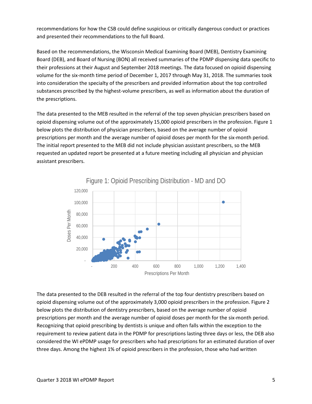recommendations for how the CSB could define suspicious or critically dangerous conduct or practices and presented their recommendations to the full Board.

Based on the recommendations, the Wisconsin Medical Examining Board (MEB), Dentistry Examining Board (DEB), and Board of Nursing (BON) all received summaries of the PDMP dispensing data specific to their professions at their August and September 2018 meetings. The data focused on opioid dispensing volume for the six-month time period of December 1, 2017 through May 31, 2018. The summaries took into consideration the specialty of the prescribers and provided information about the top controlled substances prescribed by the highest-volume prescribers, as well as information about the duration of the prescriptions.

The data presented to the MEB resulted in the referral of the top seven physician prescribers based on opioid dispensing volume out of the approximately 15,000 opioid prescribers in the profession. Figure 1 below plots the distribution of physician prescribers, based on the average number of opioid prescriptions per month and the average number of opioid doses per month for the six-month period. The initial report presented to the MEB did not include physician assistant prescribers, so the MEB requested an updated report be presented at a future meeting including all physician and physician assistant prescribers.



The data presented to the DEB resulted in the referral of the top four dentistry prescribers based on opioid dispensing volume out of the approximately 3,000 opioid prescribers in the profession. Figure 2 below plots the distribution of dentistry prescribers, based on the average number of opioid prescriptions per month and the average number of opioid doses per month for the six-month period. Recognizing that opioid prescribing by dentists is unique and often falls within the exception to the requirement to review patient data in the PDMP for prescriptions lasting three days or less, the DEB also considered the WI ePDMP usage for prescribers who had prescriptions for an estimated duration of over three days. Among the highest 1% of opioid prescribers in the profession, those who had written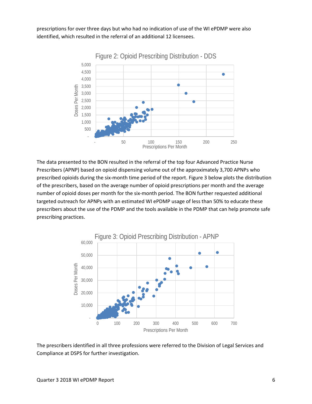prescriptions for over three days but who had no indication of use of the WI ePDMP were also identified, which resulted in the referral of an additional 12 licensees.



The data presented to the BON resulted in the referral of the top four Advanced Practice Nurse Prescribers (APNP) based on opioid dispensing volume out of the approximately 3,700 APNPs who prescribed opioids during the six-month time period of the report. Figure 3 below plots the distribution of the prescribers, based on the average number of opioid prescriptions per month and the average number of opioid doses per month for the six-month period. The BON further requested additional targeted outreach for APNPs with an estimated WI ePDMP usage of less than 50% to educate these prescribers about the use of the PDMP and the tools available in the PDMP that can help promote safe prescribing practices.



The prescribers identified in all three professions were referred to the Division of Legal Services and Compliance at DSPS for further investigation.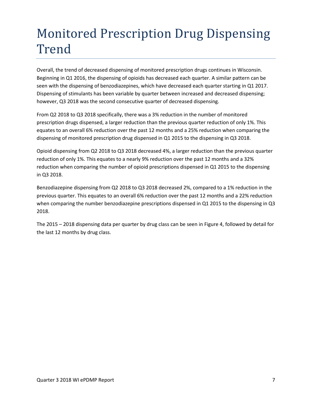## <span id="page-6-0"></span>Monitored Prescription Drug Dispensing Trend

Overall, the trend of decreased dispensing of monitored prescription drugs continues in Wisconsin. Beginning in Q1 2016, the dispensing of opioids has decreased each quarter. A similar pattern can be seen with the dispensing of benzodiazepines, which have decreased each quarter starting in Q1 2017. Dispensing of stimulants has been variable by quarter between increased and decreased dispensing; however, Q3 2018 was the second consecutive quarter of decreased dispensing.

From Q2 2018 to Q3 2018 specifically, there was a 3% reduction in the number of monitored prescription drugs dispensed, a larger reduction than the previous quarter reduction of only 1%. This equates to an overall 6% reduction over the past 12 months and a 25% reduction when comparing the dispensing of monitored prescription drug dispensed in Q1 2015 to the dispensing in Q3 2018.

Opioid dispensing from Q2 2018 to Q3 2018 decreased 4%, a larger reduction than the previous quarter reduction of only 1%. This equates to a nearly 9% reduction over the past 12 months and a 32% reduction when comparing the number of opioid prescriptions dispensed in Q1 2015 to the dispensing in Q3 2018.

Benzodiazepine dispensing from Q2 2018 to Q3 2018 decreased 2%, compared to a 1% reduction in the previous quarter. This equates to an overall 6% reduction over the past 12 months and a 22% reduction when comparing the number benzodiazepine prescriptions dispensed in Q1 2015 to the dispensing in Q3 2018.

The 2015 – 2018 dispensing data per quarter by drug class can be seen in Figure 4, followed by detail for the last 12 months by drug class.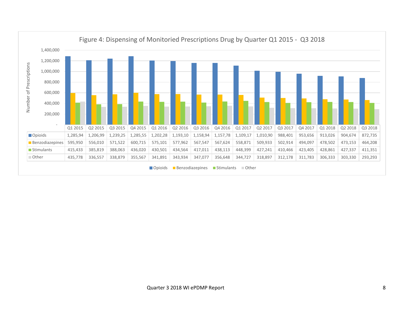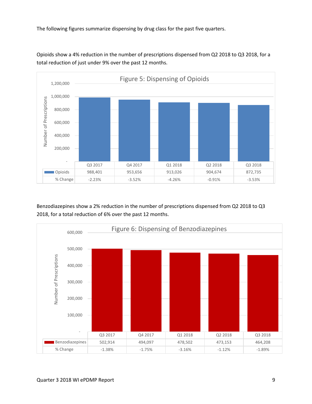The following figures summarize dispensing by drug class for the past five quarters.



Opioids show a 4% reduction in the number of prescriptions dispensed from Q2 2018 to Q3 2018, for a total reduction of just under 9% over the past 12 months.

Benzodiazepines show a 2% reduction in the number of prescriptions dispensed from Q2 2018 to Q3 2018, for a total reduction of 6% over the past 12 months.

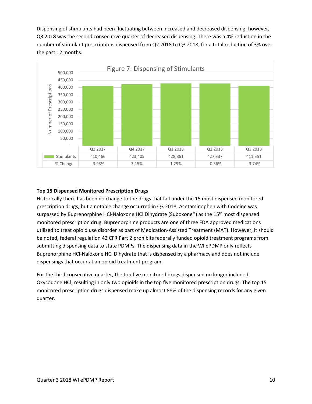Dispensing of stimulants had been fluctuating between increased and decreased dispensing; however, Q3 2018 was the second consecutive quarter of decreased dispensing. There was a 4% reduction in the number of stimulant prescriptions dispensed from Q2 2018 to Q3 2018, for a total reduction of 3% over the past 12 months.



#### **Top 15 Dispensed Monitored Prescription Drugs**

Historically there has been no change to the drugs that fall under the 15 most dispensed monitored prescription drugs, but a notable change occurred in Q3 2018. Acetaminophen with Codeine was surpassed by Buprenorphine HCl-Naloxone HCl Dihydrate (Suboxone®) as the 15<sup>th</sup> most dispensed monitored prescription drug. Buprenorphine products are one of three FDA approved medications utilized to treat opioid use disorder as part of Medication-Assisted Treatment (MAT). However, it should be noted, federal regulation 42 CFR Part 2 prohibits federally funded opioid treatment programs from submitting dispensing data to state PDMPs. The dispensing data in the WI ePDMP only reflects Buprenorphine HCl-Naloxone HCl Dihydrate that is dispensed by a pharmacy and does not include dispensings that occur at an opioid treatment program.

For the third consecutive quarter, the top five monitored drugs dispensed no longer included Oxycodone HCl, resulting in only two opioids in the top five monitored prescription drugs. The top 15 monitored prescription drugs dispensed make up almost 88% of the dispensing records for any given quarter.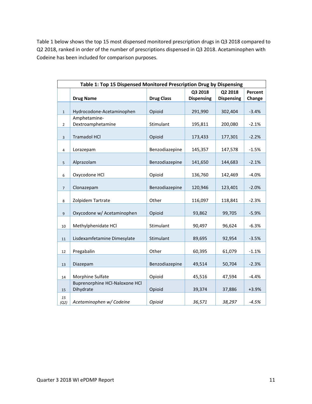Table 1 below shows the top 15 most dispensed monitored prescription drugs in Q3 2018 compared to Q2 2018, ranked in order of the number of prescriptions dispensed in Q3 2018. Acetaminophen with Codeine has been included for comparison purposes.

| Table 1: Top 15 Dispensed Monitored Prescription Drug by Dispensing |                                   |                   |                   |                   |         |  |
|---------------------------------------------------------------------|-----------------------------------|-------------------|-------------------|-------------------|---------|--|
|                                                                     |                                   |                   | Q3 2018           | Q2 2018           | Percent |  |
|                                                                     | <b>Drug Name</b>                  | <b>Drug Class</b> | <b>Dispensing</b> | <b>Dispensing</b> | Change  |  |
|                                                                     |                                   |                   |                   |                   |         |  |
| $\mathbf{1}$                                                        | Hydrocodone-Acetaminophen         | Opioid            | 291,990           | 302,404           | $-3.4%$ |  |
| $\overline{2}$                                                      | Amphetamine-<br>Dextroamphetamine | Stimulant         | 195,811           | 200,080           | $-2.1%$ |  |
|                                                                     |                                   |                   |                   |                   |         |  |
| $\overline{3}$                                                      | <b>Tramadol HCl</b>               | Opioid            | 173,433           | 177,301           | $-2.2%$ |  |
|                                                                     |                                   |                   |                   |                   |         |  |
| 4                                                                   | Lorazepam                         | Benzodiazepine    | 145,357           | 147,578           | $-1.5%$ |  |
| 5                                                                   | Alprazolam                        | Benzodiazepine    | 141,650           | 144,683           | $-2.1%$ |  |
|                                                                     |                                   |                   |                   |                   |         |  |
| 6                                                                   | Oxycodone HCl                     | Opioid            | 136,760           | 142,469           | $-4.0%$ |  |
| $\overline{7}$                                                      | Clonazepam                        | Benzodiazepine    | 120,946           | 123,401           | $-2.0%$ |  |
| 8                                                                   | Zolpidem Tartrate                 | Other             | 116,097           | 118,841           | $-2.3%$ |  |
|                                                                     |                                   |                   |                   |                   |         |  |
| 9                                                                   | Oxycodone w/ Acetaminophen        | Opioid            | 93,862            | 99,705            | $-5.9%$ |  |
| 10                                                                  | Methylphenidate HCl               | Stimulant         | 90,497            | 96,624            | $-6.3%$ |  |
|                                                                     |                                   |                   |                   |                   |         |  |
| 11                                                                  | Lisdexamfetamine Dimesylate       | Stimulant         | 89,695            | 92,954            | $-3.5%$ |  |
| 12                                                                  | Pregabalin                        | Other             | 60,395            | 61,079            | $-1.1%$ |  |
|                                                                     |                                   |                   |                   |                   |         |  |
| 13                                                                  | Diazepam                          | Benzodiazepine    | 49,514            | 50,704            | $-2.3%$ |  |
| 14                                                                  | Morphine Sulfate                  | Opioid            | 45,516            | 47,594            | $-4.4%$ |  |
|                                                                     | Buprenorphine HCl-Naloxone HCl    |                   |                   |                   |         |  |
| 15                                                                  | Dihydrate                         | Opioid            | 39,374            | 37,886            | $+3.9%$ |  |
| 15<br>(Q2)                                                          | Acetaminophen w/ Codeine          | Opioid            | 36,571            | 38,297            | $-4.5%$ |  |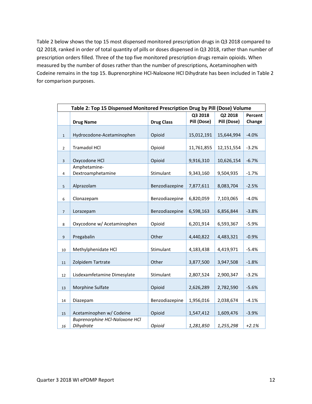Table 2 below shows the top 15 most dispensed monitored prescription drugs in Q3 2018 compared to Q2 2018, ranked in order of total quantity of pills or doses dispensed in Q3 2018, rather than number of prescription orders filled. Three of the top five monitored prescription drugs remain opioids. When measured by the number of doses rather than the number of prescriptions, Acetaminophen with Codeine remains in the top 15. Buprenorphine HCl-Naloxone HCl Dihydrate has been included in Table 2 for comparison purposes.

|                | Table 2: Top 15 Dispensed Monitored Prescription Drug by Pill (Dose) Volume |                   |                        |                        |                   |  |  |
|----------------|-----------------------------------------------------------------------------|-------------------|------------------------|------------------------|-------------------|--|--|
|                | <b>Drug Name</b>                                                            | <b>Drug Class</b> | Q3 2018<br>Pill (Dose) | Q2 2018<br>Pill (Dose) | Percent<br>Change |  |  |
| $\mathbf{1}$   | Hydrocodone-Acetaminophen                                                   | Opioid            | 15,012,191             | 15,644,994             | $-4.0%$           |  |  |
| $\overline{2}$ | <b>Tramadol HCl</b>                                                         | Opioid            | 11,761,855             | 12,151,554             | $-3.2%$           |  |  |
| $\overline{3}$ | Oxycodone HCl                                                               | Opioid            | 9,916,310              | 10,626,154             | $-6.7%$           |  |  |
| 4              | Amphetamine-<br>Dextroamphetamine                                           | Stimulant         | 9,343,160              | 9,504,935              | $-1.7%$           |  |  |
| $\mathsf S$    | Alprazolam                                                                  | Benzodiazepine    | 7,877,611              | 8,083,704              | $-2.5%$           |  |  |
| 6              | Clonazepam                                                                  | Benzodiazepine    | 6,820,059              | 7,103,065              | $-4.0%$           |  |  |
| $\overline{7}$ | Lorazepam                                                                   | Benzodiazepine    | 6,598,163              | 6,856,844              | $-3.8%$           |  |  |
| 8              | Oxycodone w/ Acetaminophen                                                  | Opioid            | 6,201,914              | 6,593,367              | $-5.9%$           |  |  |
| 9              | Pregabalin                                                                  | Other             | 4,440,822              | 4,483,321              | $-0.9%$           |  |  |
| 10             | Methylphenidate HCl                                                         | Stimulant         | 4,183,438              | 4,419,971              | $-5.4%$           |  |  |
| 11             | Zolpidem Tartrate                                                           | Other             | 3,877,500              | 3,947,508              | $-1.8%$           |  |  |
| 12             | Lisdexamfetamine Dimesylate                                                 | Stimulant         | 2,807,524              | 2,900,347              | $-3.2%$           |  |  |
| 13             | Morphine Sulfate                                                            | Opioid            | 2,626,289              | 2,782,590              | $-5.6%$           |  |  |
| 14             | Diazepam                                                                    | Benzodiazepine    | 1,956,016              | 2,038,674              | $-4.1%$           |  |  |
| 15             | Acetaminophen w/ Codeine                                                    | Opioid            | 1,547,412              | 1,609,476              | $-3.9%$           |  |  |
| 16             | <b>Buprenorphine HCI-Naloxone HCI</b><br>Dihydrate                          | Opioid            | 1,281,850              | 1,255,298              | $+2.1%$           |  |  |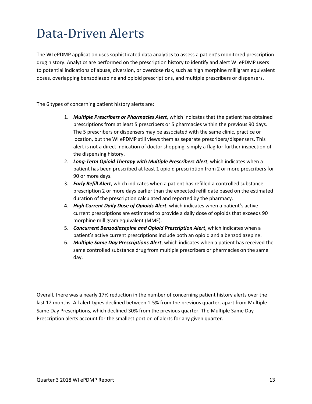#### <span id="page-12-0"></span>Data-Driven Alerts

The WI ePDMP application uses sophisticated data analytics to assess a patient's monitored prescription drug history. Analytics are performed on the prescription history to identify and alert WI ePDMP users to potential indications of abuse, diversion, or overdose risk, such as high morphine milligram equivalent doses, overlapping benzodiazepine and opioid prescriptions, and multiple prescribers or dispensers.

The 6 types of concerning patient history alerts are:

- 1. *Multiple Prescribers or Pharmacies Alert*, which indicates that the patient has obtained prescriptions from at least 5 prescribers or 5 pharmacies within the previous 90 days. The 5 prescribers or dispensers may be associated with the same clinic, practice or location, but the WI ePDMP still views them as separate prescribers/dispensers. This alert is not a direct indication of doctor shopping, simply a flag for further inspection of the dispensing history.
- 2. *Long-Term Opioid Therapy with Multiple Prescribers Alert*, which indicates when a patient has been prescribed at least 1 opioid prescription from 2 or more prescribers for 90 or more days.
- 3. *Early Refill Alert*, which indicates when a patient has refilled a controlled substance prescription 2 or more days earlier than the expected refill date based on the estimated duration of the prescription calculated and reported by the pharmacy.
- 4. *High Current Daily Dose of Opioids Alert*, which indicates when a patient's active current prescriptions are estimated to provide a daily dose of opioids that exceeds 90 morphine milligram equivalent (MME).
- 5. *Concurrent Benzodiazepine and Opioid Prescription Alert*, which indicates when a patient's active current prescriptions include both an opioid and a benzodiazepine.
- 6. *Multiple Same Day Prescriptions Alert*, which indicates when a patient has received the same controlled substance drug from multiple prescribers or pharmacies on the same day.

Overall, there was a nearly 17% reduction in the number of concerning patient history alerts over the last 12 months. All alert types declined between 1-5% from the previous quarter, apart from Multiple Same Day Prescriptions, which declined 30% from the previous quarter. The Multiple Same Day Prescription alerts account for the smallest portion of alerts for any given quarter.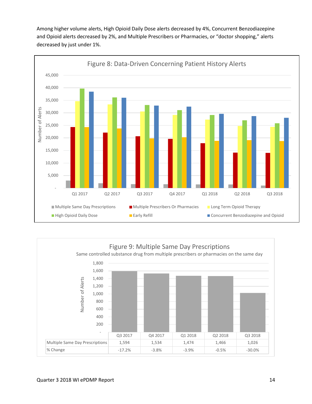Among higher volume alerts, High Opioid Daily Dose alerts decreased by 4%, Concurrent Benzodiazepine and Opioid alerts decreased by 2%, and Multiple Prescribers or Pharmacies, or "doctor shopping," alerts decreased by just under 1%.



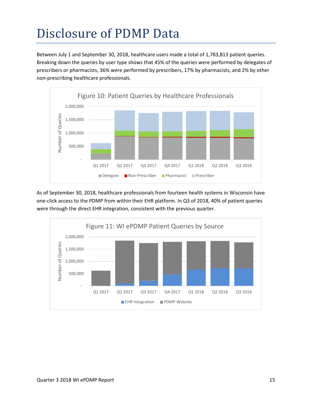# <span id="page-14-0"></span>Disclosure of PDMP Data

Between July 1 and September 30, 2018, healthcare users made a total of 1,783,813 patient queries. Breaking down the queries by user type shows that 45% of the queries were performed by delegates of prescribers or pharmacists, 36% were performed by prescribers, 17% by pharmacists, and 2% by other non-prescribing healthcare professionals.



As of September 30, 2018, healthcare professionals from fourteen health systems in Wisconsin have one-click access to the PDMP from within their EHR platform. In Q3 of 2018, 40% of patient queries were through the direct EHR integration, consistent with the previous quarter.

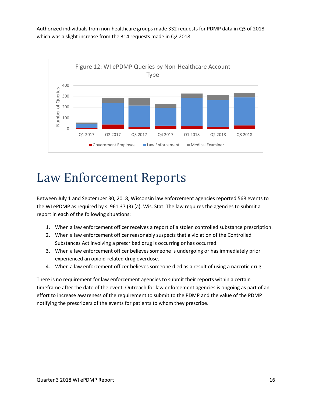Authorized individuals from non-healthcare groups made 332 requests for PDMP data in Q3 of 2018, which was a slight increase from the 314 requests made in Q2 2018.



#### <span id="page-15-0"></span>Law Enforcement Reports

Between July 1 and September 30, 2018, Wisconsin law enforcement agencies reported 568 events to the WI ePDMP as required by s. [961.37 \(3\) \(a\),](https://docs.legis.wisconsin.gov/document/statutes/961.37(3)(a)) Wis. Stat. The law requires the agencies to submit a report in each of the following situations:

- 1. When a law enforcement officer receives a report of a stolen controlled substance prescription.
- 2. When a law enforcement officer reasonably suspects that a violation of the Controlled Substances Act involving a prescribed drug is occurring or has occurred.
- 3. When a law enforcement officer believes someone is undergoing or has immediately prior experienced an opioid-related drug overdose.
- 4. When a law enforcement officer believes someone died as a result of using a narcotic drug.

There is no requirement for law enforcement agencies to submit their reports within a certain timeframe after the date of the event. Outreach for law enforcement agencies is ongoing as part of an effort to increase awareness of the requirement to submit to the PDMP and the value of the PDMP notifying the prescribers of the events for patients to whom they prescribe.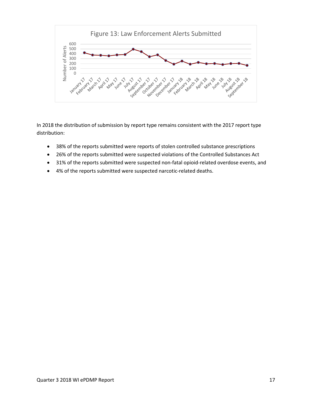

In 2018 the distribution of submission by report type remains consistent with the 2017 report type distribution:

- 38% of the reports submitted were reports of stolen controlled substance prescriptions
- 26% of the reports submitted were suspected violations of the Controlled Substances Act
- 31% of the reports submitted were suspected non-fatal opioid-related overdose events, and
- 4% of the reports submitted were suspected narcotic-related deaths.